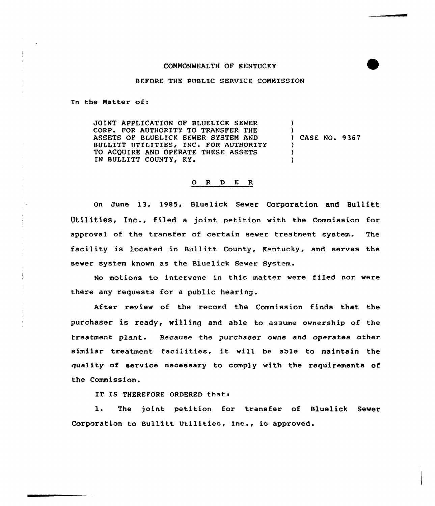## COMMONWEALTH OF KENTUCKY

## BEFORE THE PUBLIC SERVICE COMMISSION

In the Matter of:

JOINT APPLICATION OF BLUELICK SEWER CORP. FOR AUTHORITY TO TRANSFER THE ASSETS OF BIUELICK SEWER SYSTEM AND BULLITT UTILITIES, INC. FOR AUTHORITY TO ACQUIRE AND OPERATE THESE ASSETS IN BULLITT COUNTY, KY. ) ) ) CASE NO. 9 367 ) ) )

## O R D E R

On June 13, 1985, Bluelick Sewer Corporation and Bullitt Utilities, Inc., filed <sup>a</sup> joint petition with the Commission for approval of the transfer of certain sewer treatment system. The facility is located in Bullitt County, Kentucky, and serves the sewer system known as the Bluelick Sewer System.

No motions to intervene in this matter were filed nor were there any requests for a public hearing.

After review of the record the Commission finds that the purchaser is ready, willing and able to assume ownership of the treatment plant. Because the purchaser owns and operates other similar treatment facilities, it will be able to maintain the quality of service necessary to comply with the requirements of the Commission.

IT IS THEREFORE ORDERED that:

1. The joint petition for transfer of Bluelick Sever Corporation to Bullitt Utilities, Inc., is approved.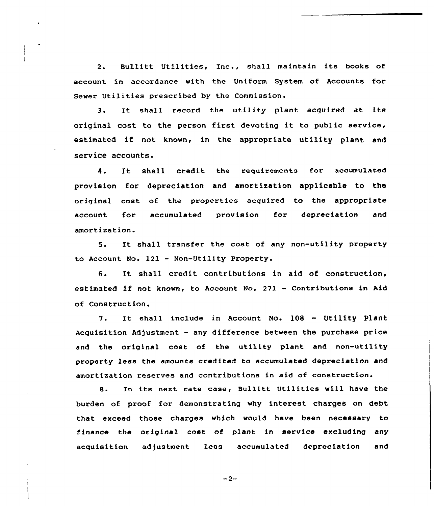2. Bullitt Utilities, Inc., shall maintain its books of account in accordance with the Uniform System of Accounts for Sewer Utilities prescribed by the Commission.

3. It shall record the utility plant acquired at its original cost to the person first devoting it to public service, estimated if not known, in the appropriate utility plant and service accounts.

4. It shall credit the requirements for accumulated provision for depreciation and amortization applicable to the original cost. of the properties acquired to the appropriate account for accumulated provision for depreciation and amortization.

5. It shall transfer the cost of any non-utility property to Account. No. <sup>121</sup> - Non-Utility Property,

6. It shall credit contributions in aid of construction, estimated if not known, to Account No. <sup>271</sup> - Contributions in Aid of Construction.

It shall include in Account No. <sup>108</sup> — Utility Plant 7. Acquisition Adjustment - any difference between the purchase price and the original cost of the utility plant and non-utility property less the amounts credited to accumulated depreciation and amortization reserves and contributions in aid of construction.

8. In its next rate case, Bullitt Utilities will have the burden of proof for demonstrating why interest charges on debt that exceed those charges which would have been necessary to finance the original cost of plant in service excluding any acquisition adjustment less accumulated depreciation and

 $-2-$